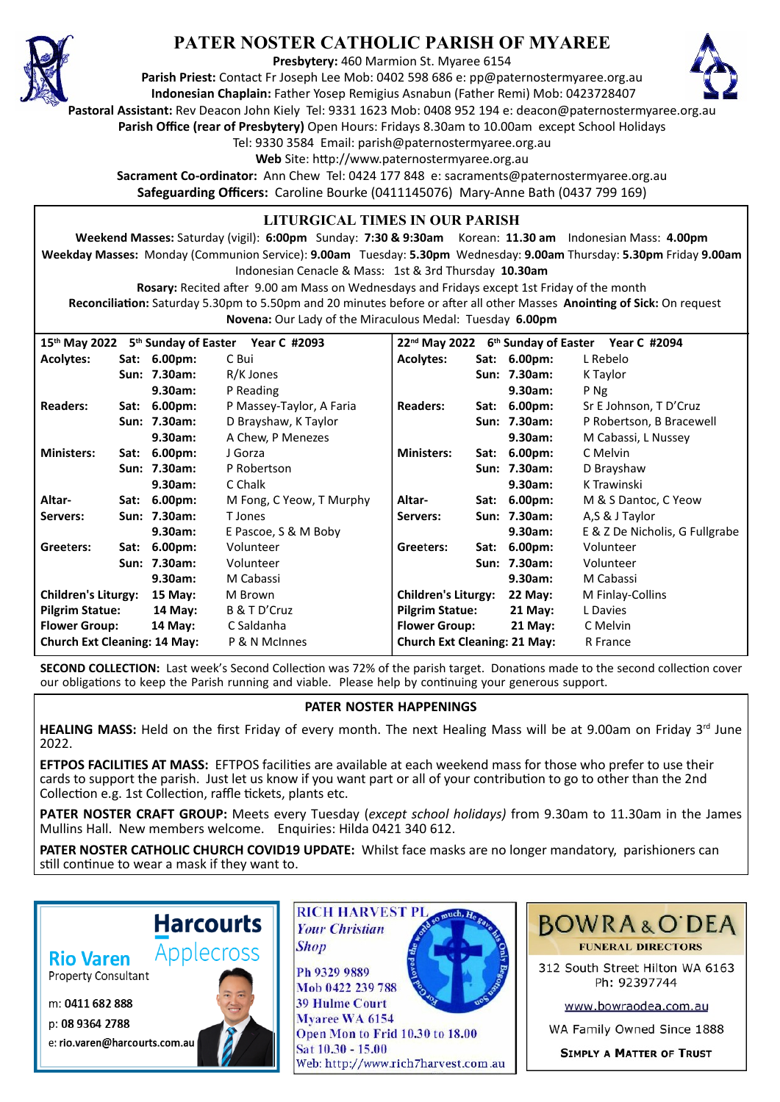

## **PATER NOSTER CATHOLIC PARISH OF MYAREE**

**Presbytery:** 460 Marmion St. Myaree 6154

**Parish Priest:** Contact Fr Joseph Lee Mob: 0402 598 686 e: pp@paternostermyaree.org.au **Indonesian Chaplain:** Father Yosep Remigius Asnabun (Father Remi) Mob: 0423728407



**Pastoral Assistant:** Rev Deacon John Kiely Tel: 9331 1623 Mob: 0408 952 194 e: deacon@paternostermyaree.org.au **Parish Office (rear of Presbytery)** Open Hours: Fridays 8.30am to 10.00am except School Holidays

Tel: 9330 3584 Email: parish@paternostermyaree.org.au

Web Site: http://www.paternostermyaree.org.au

**Sacrament Co-ordinator:** Ann Chew Tel: 0424 177 848 e: sacraments@paternostermyaree.org.au **Safeguarding Officers:** Caroline Bourke (0411145076) Mary-Anne Bath (0437 799 169)

## **LITURGICAL TIMES IN OUR PARISH**

**Weekend Masses:** Saturday (vigil): **6:00pm** Sunday: **7:30 & 9:30am** Korean: **11.30 am** Indonesian Mass: **4.00pm Weekday Masses:** Monday (Communion Service): **9.00am** Tuesday: **5.30pm** Wednesday: **9.00am** Thursday: **5.30pm** Friday **9.00am** Indonesian Cenacle & Mass: 1st & 3rd Thursday **10.30am**

**Rosary:** Recited a�er 9.00 am Mass on Wednesdays and Fridays except 1st Friday of the month Reconciliation: Saturday 5.30pm to 5.50pm and 20 minutes before or after all other Masses Anointing of Sick: On request **Novena:** Our Lady of the Miraculous Medal: Tuesday **6.00pm**

| $15th$ May 2022<br>5 <sup>th</sup> Sunday of Easter Year C #2093<br>22 <sup>nd</sup> May 2022 6 <sup>th</sup> Sunday of Easter Year C #2094 |      |                |                          |                                     |      |              |                                |
|---------------------------------------------------------------------------------------------------------------------------------------------|------|----------------|--------------------------|-------------------------------------|------|--------------|--------------------------------|
| <b>Acolytes:</b>                                                                                                                            |      | Sat: 6.00pm:   | C Bui                    | <b>Acolytes:</b>                    |      | Sat: 6.00pm: | L Rebelo                       |
|                                                                                                                                             |      | Sun: 7.30am:   | R/K Jones                |                                     |      | Sun: 7.30am: | K Taylor                       |
|                                                                                                                                             |      | 9.30am:        | P Reading                |                                     |      | 9.30am:      | P Ng                           |
| <b>Readers:</b>                                                                                                                             |      | Sat: 6.00pm:   | P Massey-Taylor, A Faria | <b>Readers:</b>                     |      | Sat: 6.00pm: | Sr E Johnson, T D'Cruz         |
|                                                                                                                                             |      | Sun: 7.30am:   | D Brayshaw, K Taylor     |                                     |      | Sun: 7.30am: | P Robertson, B Bracewell       |
|                                                                                                                                             |      | 9.30am:        | A Chew, P Menezes        |                                     |      | 9.30am:      | M Cabassi, L Nussey            |
| <b>Ministers:</b>                                                                                                                           | Sat: | $6.00pm$ :     | J Gorza                  | <b>Ministers:</b>                   | Sat: | 6.00pm:      | C Melvin                       |
|                                                                                                                                             |      | Sun: 7.30am:   | P Robertson              |                                     |      | Sun: 7.30am: | D Brayshaw                     |
|                                                                                                                                             |      | 9.30am:        | C Chalk                  |                                     |      | 9.30am:      | K Trawinski                    |
| Altar-                                                                                                                                      |      | Sat: 6.00pm:   | M Fong, C Yeow, T Murphy | Altar-                              |      | Sat: 6.00pm: | M & S Dantoc, C Yeow           |
| Servers:                                                                                                                                    |      | Sun: 7.30am:   | T Jones                  | Servers:                            |      | Sun: 7.30am: | A,S & J Taylor                 |
|                                                                                                                                             |      | 9.30am:        | E Pascoe, S & M Boby     |                                     |      | 9.30am:      | E & Z De Nicholis, G Fullgrabe |
| Greeters:                                                                                                                                   |      | Sat: 6.00pm:   | Volunteer                | Greeters:                           |      | Sat: 6.00pm: | Volunteer                      |
|                                                                                                                                             |      | Sun: 7.30am:   | Volunteer                |                                     |      | Sun: 7.30am: | Volunteer                      |
|                                                                                                                                             |      | 9.30am:        | M Cabassi                |                                     |      | 9.30am:      | M Cabassi                      |
| <b>Children's Liturgy:</b>                                                                                                                  |      | <b>15 May:</b> | M Brown                  | <b>Children's Liturgy:</b>          |      | 22 May:      | M Finlay-Collins               |
| <b>Pilgrim Statue:</b>                                                                                                                      |      | 14 May:        | B & T D'Cruz             | <b>Pilgrim Statue:</b>              |      | $21$ May:    | L Davies                       |
| <b>Flower Group:</b>                                                                                                                        |      | 14 May:        | C Saldanha               | <b>Flower Group:</b>                |      | $21$ May:    | C Melvin                       |
| <b>Church Ext Cleaning: 14 May:</b>                                                                                                         |      |                | P & N McInnes            | <b>Church Ext Cleaning: 21 May:</b> |      |              | R France                       |

**SECOND COLLECTION:** Last week's Second Collection was 72% of the parish target. Donations made to the second collection cover our obligations to keep the Parish running and viable. Please help by continuing your generous support.

## **PATER NOSTER HAPPENINGS**

**HEALING MASS:** Held on the first Friday of every month. The next Healing Mass will be at 9.00am on Friday 3<sup>rd</sup> June 2022.

**EFTPOS FACILITIES AT MASS:** EFTPOS facili�es are available at each weekend mass for those who prefer to use their cards to support the parish. Just let us know if you want part or all of your contribution to go to other than the 2nd Collection e.g. 1st Collection, raffle tickets, plants etc.

**PATER NOSTER CRAFT GROUP:** Meets every Tuesday (*except school holidays)* from 9.30am to 11.30am in the James Mullins Hall. New members welcome. Enquiries: Hilda 0421 340 612.

**PATER NOSTER CATHOLIC CHURCH COVID19 UPDATE:** Whilst face masks are no longer mandatory, parishioners can still continue to wear a mask if they want to.

**Rio Varen** 

**Property Consultant** 

m: 0411 682 888

p: 08 9364 2788 e: rio.varen@harcourts.com.au



**Harcourts** 



Myaree WA 6154 Open Mon to Frid 10.30 to 18.00 Sat 10.30 - 15.00 Web: http://www.rich7harvest.com.au



312 South Street Hilton WA 6163 Ph: 92397744

www.bowraodea.com.au

WA Family Owned Since 1888

**SIMPLY A MATTER OF TRUST**